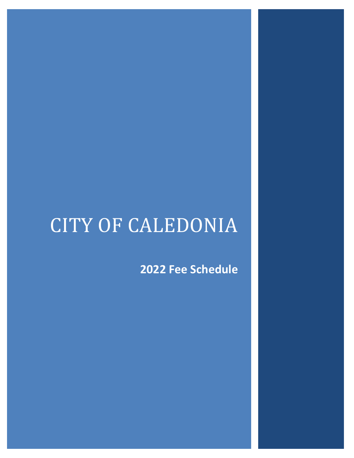# CITY OF CALEDONIA

**2022 Fee Schedule**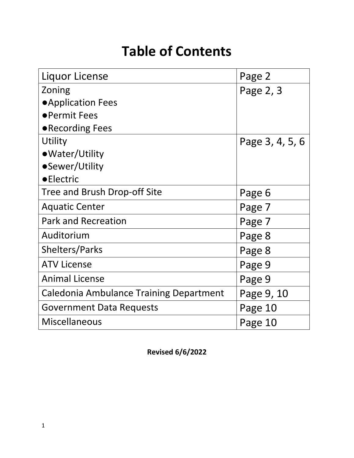# **Table of Contents**

| Liquor License                                 | Page 2          |
|------------------------------------------------|-----------------|
| Zoning                                         | Page 2, 3       |
| ● Application Fees                             |                 |
| • Permit Fees                                  |                 |
| • Recording Fees                               |                 |
| Utility                                        | Page 3, 4, 5, 6 |
| • Water/Utility                                |                 |
| •Sewer/Utility                                 |                 |
| <b>•Electric</b>                               |                 |
| Tree and Brush Drop-off Site                   | Page 6          |
| <b>Aquatic Center</b>                          | Page 7          |
| <b>Park and Recreation</b>                     | Page 7          |
| Auditorium                                     | Page 8          |
| <b>Shelters/Parks</b>                          | Page 8          |
| <b>ATV License</b>                             | Page 9          |
| <b>Animal License</b>                          | Page 9          |
| <b>Caledonia Ambulance Training Department</b> | Page 9, 10      |
| <b>Government Data Requests</b>                | Page 10         |
| <b>Miscellaneous</b>                           | Page 10         |

**Revised 6/6/2022**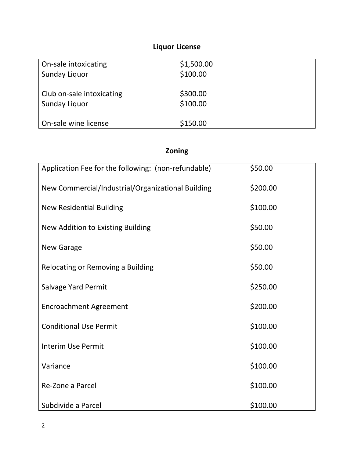# **Liquor License**

| On-sale intoxicating      | \$1,500.00 |
|---------------------------|------------|
| Sunday Liquor             | \$100.00   |
|                           |            |
| Club on-sale intoxicating | \$300.00   |
| Sunday Liquor             | \$100.00   |
|                           |            |
| On-sale wine license      | \$150.00   |

# **Zoning**

| Application Fee for the following: (non-refundable) | \$50.00  |
|-----------------------------------------------------|----------|
| New Commercial/Industrial/Organizational Building   | \$200.00 |
| <b>New Residential Building</b>                     | \$100.00 |
| New Addition to Existing Building                   | \$50.00  |
| <b>New Garage</b>                                   | \$50.00  |
| Relocating or Removing a Building                   | \$50.00  |
| Salvage Yard Permit                                 | \$250.00 |
| <b>Encroachment Agreement</b>                       | \$200.00 |
| <b>Conditional Use Permit</b>                       | \$100.00 |
| <b>Interim Use Permit</b>                           | \$100.00 |
| Variance                                            | \$100.00 |
| Re-Zone a Parcel                                    | \$100.00 |
| Subdivide a Parcel                                  | \$100.00 |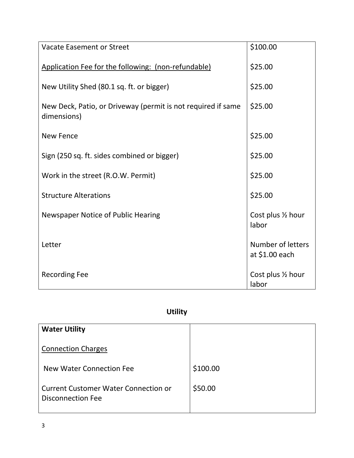| <b>Vacate Easement or Street</b>                                            | \$100.00                            |
|-----------------------------------------------------------------------------|-------------------------------------|
| Application Fee for the following: (non-refundable)                         | \$25.00                             |
| New Utility Shed (80.1 sq. ft. or bigger)                                   | \$25.00                             |
| New Deck, Patio, or Driveway (permit is not required if same<br>dimensions) | \$25.00                             |
| <b>New Fence</b>                                                            | \$25.00                             |
| Sign (250 sq. ft. sides combined or bigger)                                 | \$25.00                             |
| Work in the street (R.O.W. Permit)                                          | \$25.00                             |
| <b>Structure Alterations</b>                                                | \$25.00                             |
| <b>Newspaper Notice of Public Hearing</b>                                   | Cost plus 1/2 hour<br>labor         |
| Letter                                                                      | Number of letters<br>at \$1.00 each |
| <b>Recording Fee</b>                                                        | Cost plus 1/2 hour<br>labor         |

# **Utility**

| <b>Water Utility</b>                                             |          |
|------------------------------------------------------------------|----------|
| <b>Connection Charges</b>                                        |          |
| New Water Connection Fee                                         | \$100.00 |
| <b>Current Customer Water Connection or</b><br>Disconnection Fee | \$50.00  |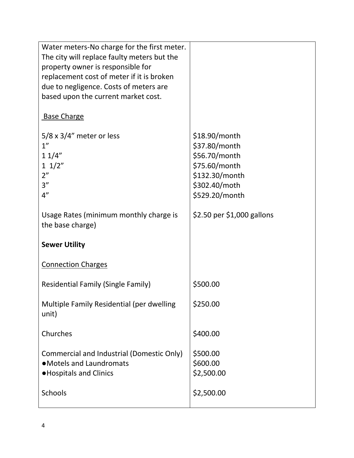| Water meters-No charge for the first meter.<br>The city will replace faulty meters but the<br>property owner is responsible for<br>replacement cost of meter if it is broken<br>due to negligence. Costs of meters are<br>based upon the current market cost. |                                                                                                                         |
|---------------------------------------------------------------------------------------------------------------------------------------------------------------------------------------------------------------------------------------------------------------|-------------------------------------------------------------------------------------------------------------------------|
| <b>Base Charge</b>                                                                                                                                                                                                                                            |                                                                                                                         |
| $5/8 \times 3/4$ " meter or less<br>1''<br>11/4"<br>$1 \frac{1}{2}$<br>2"<br>3''<br>4"                                                                                                                                                                        | $$18.90/m$ onth<br>\$37.80/month<br>\$56.70/month<br>\$75.60/month<br>\$132.30/month<br>\$302.40/moth<br>\$529.20/month |
| Usage Rates (minimum monthly charge is<br>the base charge)                                                                                                                                                                                                    | \$2.50 per \$1,000 gallons                                                                                              |
| <b>Sewer Utility</b>                                                                                                                                                                                                                                          |                                                                                                                         |
| <b>Connection Charges</b>                                                                                                                                                                                                                                     |                                                                                                                         |
| <b>Residential Family (Single Family)</b>                                                                                                                                                                                                                     | \$500.00                                                                                                                |
| Multiple Family Residential (per dwelling<br>unit)                                                                                                                                                                                                            | \$250.00                                                                                                                |
| Churches                                                                                                                                                                                                                                                      | \$400.00                                                                                                                |
| Commercial and Industrial (Domestic Only)<br>• Motels and Laundromats<br><b>.</b> Hospitals and Clinics                                                                                                                                                       | \$500.00<br>\$600.00<br>\$2,500.00                                                                                      |
| Schools                                                                                                                                                                                                                                                       | \$2,500.00                                                                                                              |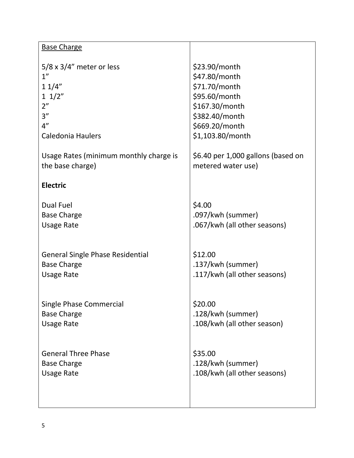| <b>Base Charge</b>                      |                                    |
|-----------------------------------------|------------------------------------|
| $5/8 \times 3/4$ " meter or less        | \$23.90/month                      |
| 1 <sup>''</sup>                         | \$47.80/month                      |
| 11/4"                                   | \$71.70/month                      |
| $1 \frac{1}{2}$                         | \$95.60/month                      |
| 2"                                      | \$167.30/month                     |
| 3''                                     | \$382.40/month                     |
| 4"                                      | \$669.20/month                     |
| <b>Caledonia Haulers</b>                | \$1,103.80/month                   |
|                                         |                                    |
| Usage Rates (minimum monthly charge is  | \$6.40 per 1,000 gallons (based on |
| the base charge)                        | metered water use)                 |
|                                         |                                    |
| <b>Electric</b>                         |                                    |
| <b>Dual Fuel</b>                        | \$4.00                             |
| <b>Base Charge</b>                      | .097/kwh (summer)                  |
| <b>Usage Rate</b>                       | .067/kwh (all other seasons)       |
|                                         |                                    |
|                                         |                                    |
| <b>General Single Phase Residential</b> | \$12.00                            |
| <b>Base Charge</b>                      | .137/kwh (summer)                  |
| <b>Usage Rate</b>                       | .117/kwh (all other seasons)       |
|                                         |                                    |
| <b>Single Phase Commercial</b>          | \$20.00                            |
| <b>Base Charge</b>                      | .128/kwh (summer)                  |
| <b>Usage Rate</b>                       | .108/kwh (all other season)        |
|                                         |                                    |
|                                         |                                    |
| <b>General Three Phase</b>              | \$35.00                            |
| <b>Base Charge</b>                      | .128/kwh (summer)                  |
| <b>Usage Rate</b>                       | .108/kwh (all other seasons)       |
|                                         |                                    |
|                                         |                                    |
|                                         |                                    |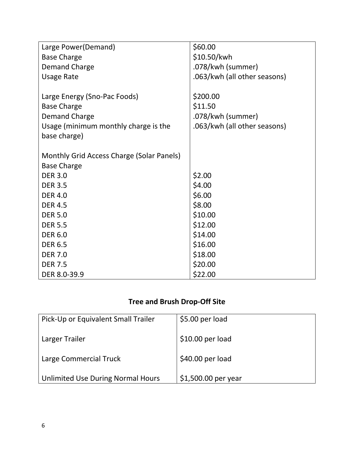| Large Power (Demand)                      | \$60.00                      |
|-------------------------------------------|------------------------------|
| <b>Base Charge</b>                        | \$10.50/kwh                  |
| <b>Demand Charge</b>                      | .078/kwh (summer)            |
| <b>Usage Rate</b>                         | .063/kwh (all other seasons) |
|                                           |                              |
| Large Energy (Sno-Pac Foods)              | \$200.00                     |
| <b>Base Charge</b>                        | \$11.50                      |
| <b>Demand Charge</b>                      | .078/kwh (summer)            |
| Usage (minimum monthly charge is the      | .063/kwh (all other seasons) |
| base charge)                              |                              |
|                                           |                              |
| Monthly Grid Access Charge (Solar Panels) |                              |
| <b>Base Charge</b>                        |                              |
| <b>DER 3.0</b>                            | \$2.00                       |
| <b>DER 3.5</b>                            | \$4.00                       |
| <b>DER 4.0</b>                            | \$6.00                       |
| <b>DER 4.5</b>                            | \$8.00                       |
| <b>DER 5.0</b>                            | \$10.00                      |
| <b>DER 5.5</b>                            | \$12.00                      |
| <b>DER 6.0</b>                            | \$14.00                      |
| <b>DER 6.5</b>                            | \$16.00                      |
| <b>DER 7.0</b>                            | \$18.00                      |
| <b>DER 7.5</b>                            | \$20.00                      |
| DER 8.0-39.9                              | \$22.00                      |

# **Tree and Brush Drop-Off Site**

| Pick-Up or Equivalent Small Trailer | \$5.00 per load     |
|-------------------------------------|---------------------|
| Larger Trailer                      | $$10.00$ per load   |
| Large Commercial Truck              | \$40.00 per load    |
| Unlimited Use During Normal Hours   | \$1,500.00 per year |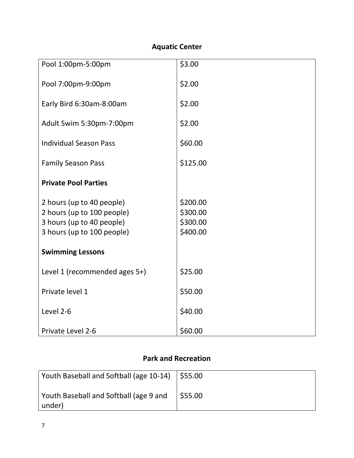# **Aquatic Center**

| Pool 1:00pm-5:00pm            | \$3.00   |
|-------------------------------|----------|
|                               |          |
| Pool 7:00pm-9:00pm            | \$2.00   |
|                               |          |
| Early Bird 6:30am-8:00am      | \$2.00   |
|                               |          |
| Adult Swim 5:30pm-7:00pm      | \$2.00   |
|                               |          |
| <b>Individual Season Pass</b> | \$60.00  |
| <b>Family Season Pass</b>     | \$125.00 |
|                               |          |
| <b>Private Pool Parties</b>   |          |
|                               |          |
| 2 hours (up to 40 people)     | \$200.00 |
| 2 hours (up to 100 people)    | \$300.00 |
| 3 hours (up to 40 people)     | \$300.00 |
| 3 hours (up to 100 people)    | \$400.00 |
|                               |          |
| <b>Swimming Lessons</b>       |          |
|                               |          |
| Level 1 (recommended ages 5+) | \$25.00  |
| Private level 1               | \$50.00  |
|                               |          |
| Level 2-6                     | \$40.00  |
|                               |          |
| Private Level 2-6             | \$60.00  |

#### **Park and Recreation**

| Youth Baseball and Softball (age 10-14)   \$55.00 |        |
|---------------------------------------------------|--------|
| Youth Baseball and Softball (age 9 and<br>under)  | S55.00 |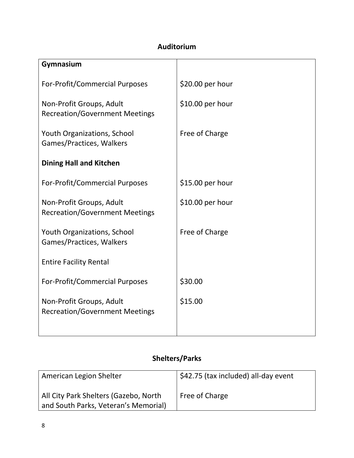#### **Auditorium**

| Gymnasium                                                         |                  |
|-------------------------------------------------------------------|------------------|
| For-Profit/Commercial Purposes                                    | \$20.00 per hour |
| Non-Profit Groups, Adult<br><b>Recreation/Government Meetings</b> | \$10.00 per hour |
| <b>Youth Organizations, School</b><br>Games/Practices, Walkers    | Free of Charge   |
| <b>Dining Hall and Kitchen</b>                                    |                  |
| For-Profit/Commercial Purposes                                    | \$15.00 per hour |
| Non-Profit Groups, Adult<br><b>Recreation/Government Meetings</b> | \$10.00 per hour |
| <b>Youth Organizations, School</b><br>Games/Practices, Walkers    | Free of Charge   |
| <b>Entire Facility Rental</b>                                     |                  |
| For-Profit/Commercial Purposes                                    | \$30.00          |
| Non-Profit Groups, Adult<br><b>Recreation/Government Meetings</b> | \$15.00          |
|                                                                   |                  |

# **Shelters/Parks**

| American Legion Shelter                                                       | \$42.75 (tax included) all-day event |
|-------------------------------------------------------------------------------|--------------------------------------|
| All City Park Shelters (Gazebo, North<br>and South Parks, Veteran's Memorial) | Free of Charge                       |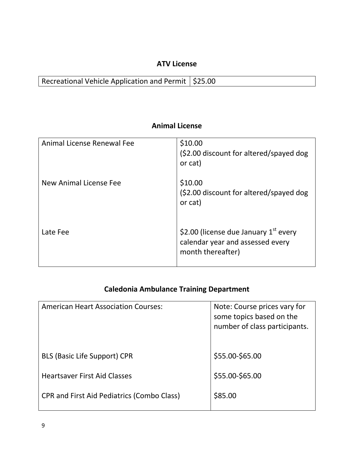#### **ATV License**

Recreational Vehicle Application and Permit  $\vert$  \$25.00

#### **Animal License**

| Animal License Renewal Fee | \$10.00<br>(\$2.00 discount for altered/spayed dog<br>or cat)                                    |
|----------------------------|--------------------------------------------------------------------------------------------------|
| New Animal License Fee     | \$10.00<br>(\$2.00 discount for altered/spayed dog<br>or cat)                                    |
| Late Fee                   | \$2.00 (license due January $1st$ every<br>calendar year and assessed every<br>month thereafter) |

# **Caledonia Ambulance Training Department**

| <b>American Heart Association Courses:</b>        | Note: Course prices vary for<br>some topics based on the<br>number of class participants. |
|---------------------------------------------------|-------------------------------------------------------------------------------------------|
| <b>BLS (Basic Life Support) CPR</b>               | \$55.00-\$65.00                                                                           |
| <b>Heartsaver First Aid Classes</b>               | \$55.00-\$65.00                                                                           |
| <b>CPR and First Aid Pediatrics (Combo Class)</b> | \$85.00                                                                                   |